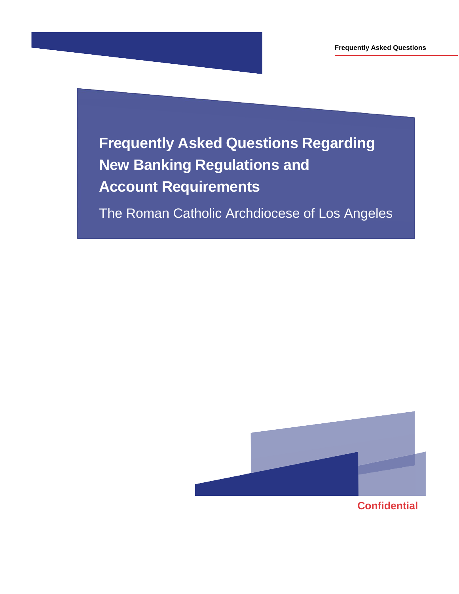**Frequently Asked Questions Regarding New Banking Regulations and Account Requirements**

The Roman Catholic Archdiocese of Los Angeles

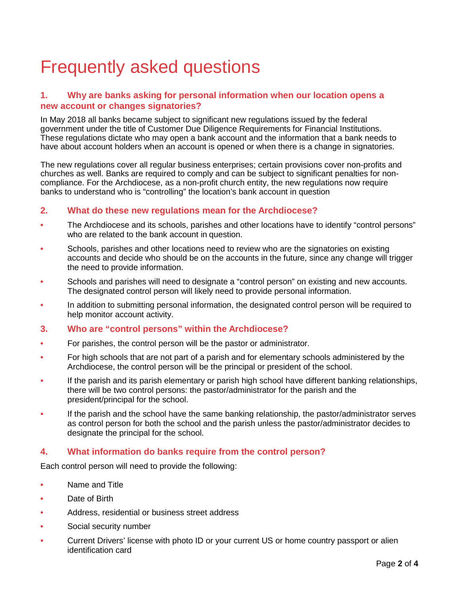# Frequently asked questions

## **1. Why are banks asking for personal information when our location opens a new account or changes signatories?**

In May 2018 all banks became subject to significant new regulations issued by the federal government under the title of Customer Due Diligence Requirements for Financial Institutions. These regulations dictate who may open a bank account and the information that a bank needs to have about account holders when an account is opened or when there is a change in signatories.

The new regulations cover all regular business enterprises; certain provisions cover non-profits and churches as well. Banks are required to comply and can be subject to significant penalties for noncompliance. For the Archdiocese, as a non-profit church entity, the new regulations now require banks to understand who is "controlling" the location's bank account in question

## **2. What do these new regulations mean for the Archdiocese?**

- **•** The Archdiocese and its schools, parishes and other locations have to identify "control persons" who are related to the bank account in question.
- **•** Schools, parishes and other locations need to review who are the signatories on existing accounts and decide who should be on the accounts in the future, since any change will trigger the need to provide information.
- **•** Schools and parishes will need to designate a "control person" on existing and new accounts. The designated control person will likely need to provide personal information.
- **•** In addition to submitting personal information, the designated control person will be required to help monitor account activity.
- **3. Who are "control persons" within the Archdiocese?**
- **•** For parishes, the control person will be the pastor or administrator.
- **•** For high schools that are not part of a parish and for elementary schools administered by the Archdiocese, the control person will be the principal or president of the school.
- **•** If the parish and its parish elementary or parish high school have different banking relationships, there will be two control persons: the pastor/administrator for the parish and the president/principal for the school.
- **•** If the parish and the school have the same banking relationship, the pastor/administrator serves as control person for both the school and the parish unless the pastor/administrator decides to designate the principal for the school.

# **4. What information do banks require from the control person?**

Each control person will need to provide the following:

- **•** Name and Title
- **•** Date of Birth
- **•** Address, residential or business street address
- **•** Social security number
- **•** Current Drivers' license with photo ID or your current US or home country passport or alien identification card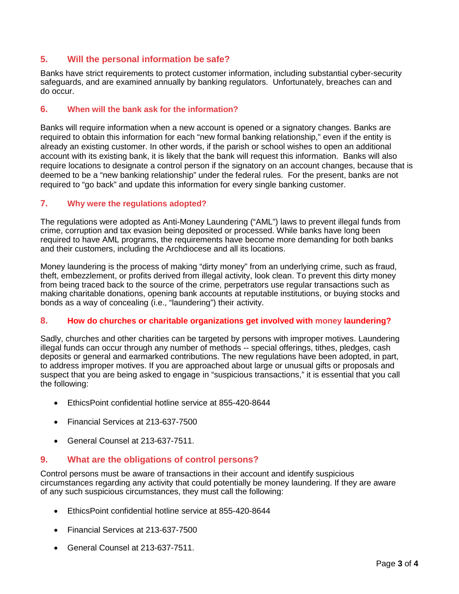# **5. Will the personal information be safe?**

Banks have strict requirements to protect customer information, including substantial cyber-security safeguards, and are examined annually by banking regulators. Unfortunately, breaches can and do occur.

#### **6. When will the bank ask for the information?**

Banks will require information when a new account is opened or a signatory changes. Banks are required to obtain this information for each "new formal banking relationship," even if the entity is already an existing customer. In other words, if the parish or school wishes to open an additional account with its existing bank, it is likely that the bank will request this information. Banks will also require locations to designate a control person if the signatory on an account changes, because that is deemed to be a "new banking relationship" under the federal rules. For the present, banks are not required to "go back" and update this information for every single banking customer.

### **7. Why were the regulations adopted?**

The regulations were adopted as Anti-Money Laundering ("AML") laws to prevent illegal funds from crime, corruption and tax evasion being deposited or processed. While banks have long been required to have AML programs, the requirements have become more demanding for both banks and their customers, including the Archdiocese and all its locations.

Money laundering is the process of making "dirty money" from an underlying crime, such as fraud, theft, embezzlement, or profits derived from illegal activity, look clean. To prevent this dirty money from being traced back to the source of the crime, perpetrators use regular transactions such as making charitable donations, opening bank accounts at reputable institutions, or buying stocks and bonds as a way of concealing (i.e., "laundering") their activity.

#### **8. How do churches or charitable organizations get involved with money laundering?**

Sadly, churches and other charities can be targeted by persons with improper motives. Laundering illegal funds can occur through any number of methods -- special offerings, tithes, pledges, cash deposits or general and earmarked contributions. The new regulations have been adopted, in part, to address improper motives. If you are approached about large or unusual gifts or proposals and suspect that you are being asked to engage in "suspicious transactions," it is essential that you call the following:

- EthicsPoint confidential hotline service at 855-420-8644
- Financial Services at 213-637-7500
- General Counsel at 213-637-7511.

# **9. What are the obligations of control persons?**

Control persons must be aware of transactions in their account and identify suspicious circumstances regarding any activity that could potentially be money laundering. If they are aware of any such suspicious circumstances, they must call the following:

- EthicsPoint confidential hotline service at 855-420-8644
- Financial Services at 213-637-7500
- General Counsel at 213-637-7511.